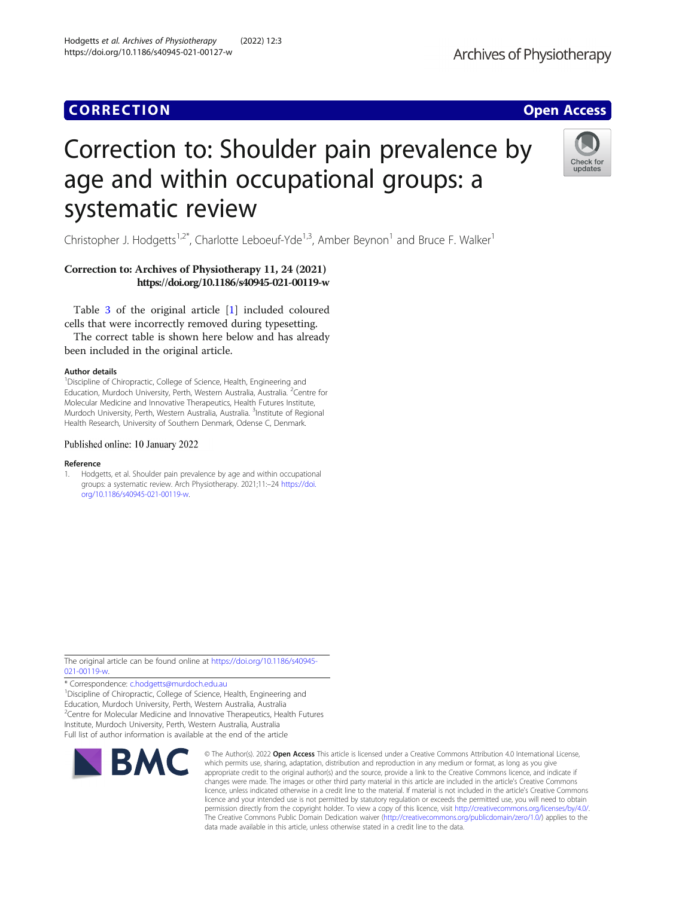# **CORRECTION CORRECTION**

# Correction to: Shoulder pain prevalence by age and within occupational groups: a systematic review

Christopher J. Hodgetts<sup>1,2\*</sup>, Charlotte Leboeuf-Yde<sup>1,3</sup>, Amber Beynon<sup>1</sup> and Bruce F. Walker<sup>1</sup>

## Correction to: Archives of Physiotherapy 11, 24 (2021) https://doi.org/10.1186/s40945-021-00119-w

Table [3](#page-1-0) of the original article [1] included coloured cells that were incorrectly removed during typesetting.

The correct table is shown here below and has already been included in the original article.

#### Author details

<sup>1</sup>Discipline of Chiropractic, College of Science, Health, Engineering and Education, Murdoch University, Perth, Western Australia, Australia. <sup>2</sup>Centre for Molecular Medicine and Innovative Therapeutics, Health Futures Institute, Murdoch University, Perth, Western Australia, Australia. <sup>3</sup>Institute of Regional Health Research, University of Southern Denmark, Odense C, Denmark.

#### Published online: 10 January 2022

#### Reference

1. Hodgetts, et al. Shoulder pain prevalence by age and within occupational groups: a systematic review. Arch Physiotherapy. 2021;11:–24 [https://doi.](https://doi.org/10.1186/s40945-021-00119-w) [org/10.1186/s40945-021-00119-w](https://doi.org/10.1186/s40945-021-00119-w).

The original article can be found online at [https://doi.org/10.1186/s40945-](https://doi.org/10.1186/s40945-021-00119-w) [021-00119-w](https://doi.org/10.1186/s40945-021-00119-w).

\* Correspondence: [c.hodgetts@murdoch.edu.au](mailto:c.hodgetts@murdoch.edu.au) <sup>1</sup> <sup>1</sup>Discipline of Chiropractic, College of Science, Health, Engineering and Education, Murdoch University, Perth, Western Australia, Australia <sup>2</sup> Centre for Molecular Medicine and Innovative Therapeutics, Health Futures Institute, Murdoch University, Perth, Western Australia, Australia

Full list of author information is available at the end of the article

**BMC** 

which permits use, sharing, adaptation, distribution and reproduction in any medium or format, as long as you give appropriate credit to the original author(s) and the source, provide a link to the Creative Commons licence, and indicate if changes were made. The images or other third party material in this article are included in the article's Creative Commons licence, unless indicated otherwise in a credit line to the material. If material is not included in the article's Creative Commons licence and your intended use is not permitted by statutory regulation or exceeds the permitted use, you will need to obtain permission directly from the copyright holder. To view a copy of this licence, visit [http://creativecommons.org/licenses/by/4.0/.](http://creativecommons.org/licenses/by/4.0/) The Creative Commons Public Domain Dedication waiver [\(http://creativecommons.org/publicdomain/zero/1.0/](http://creativecommons.org/publicdomain/zero/1.0/)) applies to the data made available in this article, unless otherwise stated in a credit line to the data.

© The Author(s), 2022 **Open Access** This article is licensed under a Creative Commons Attribution 4.0 International License,